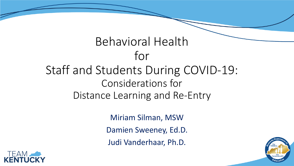### Behavioral Health for Staff and Students During COVID-19: Considerations for Distance Learning and Re-Entry

Miriam Silman, MSW Damien Sweeney, Ed.D. Judi Vanderhaar, Ph.D.



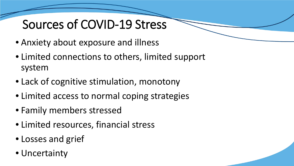## Sources of COVID-19 Stress

- Anxiety about exposure and illness
- Limited connections to others, limited support system
- Lack of cognitive stimulation, monotony
- Limited access to normal coping strategies
- Family members stressed
- Limited resources, financial stress
- Losses and grief
- Uncertainty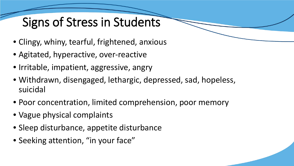# Signs of Stress in Students

- Clingy, whiny, tearful, frightened, anxious
- Agitated, hyperactive, over-reactive
- Irritable, impatient, aggressive, angry
- Withdrawn, disengaged, lethargic, depressed, sad, hopeless, suicidal
- Poor concentration, limited comprehension, poor memory
- Vague physical complaints
- Sleep disturbance, appetite disturbance
- Seeking attention, "in your face"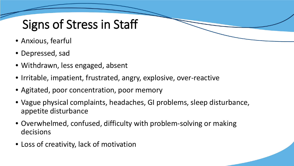# Signs of Stress in Staff

- Anxious, fearful
- Depressed, sad
- Withdrawn, less engaged, absent
- Irritable, impatient, frustrated, angry, explosive, over-reactive
- Agitated, poor concentration, poor memory
- Vague physical complaints, headaches, GI problems, sleep disturbance, appetite disturbance
- Overwhelmed, confused, difficulty with problem-solving or making decisions
- Loss of creativity, lack of motivation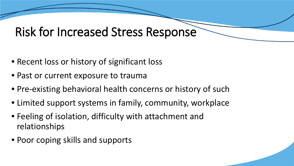#### Risk for Increased Stress Response

- Recent loss or history of significant loss
- Past or current exposure to trauma
- Pre-existing behavioral health concerns or history of such
- Limited support systems in family, community, workplace
- Feeling of isolation, difficulty with attachment and relationships
- Poor coping skills and supports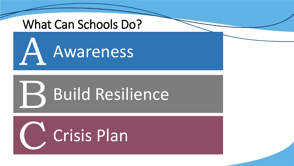### What Can Schools Do?



# Build Resilience B

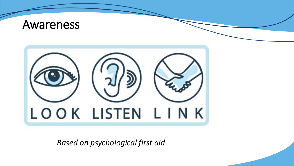

*Based on psychological first aid*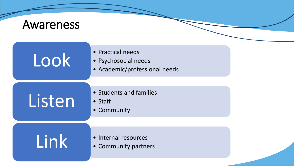### Awareness

| Look   | • Practical needs<br>• Psychosocial needs<br>• Academic/professional needs |
|--------|----------------------------------------------------------------------------|
| Listen | • Students and families<br>$\bullet$ Staff<br>• Community                  |
| Link   | • Internal resources<br>• Community partners                               |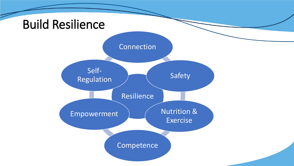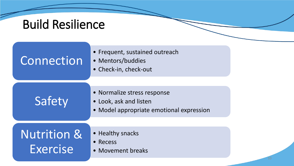## Build Resilience

| Connection                         | • Frequent, sustained outreach<br>• Mentors/buddies<br>• Check-in, check-out                      |  |
|------------------------------------|---------------------------------------------------------------------------------------------------|--|
|                                    |                                                                                                   |  |
| Safety                             | • Normalize stress response<br>• Look, ask and listen<br>• Model appropriate emotional expression |  |
|                                    |                                                                                                   |  |
| <b>Nutrition &amp;</b><br>Exercise | • Healthy snacks<br>• Recess<br>• Movement breaks                                                 |  |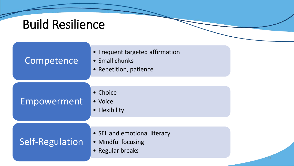## Build Resilience

| Competence      | • Frequent targeted affirmation<br>• Small chunks<br>• Repetition, patience |  |
|-----------------|-----------------------------------------------------------------------------|--|
|                 |                                                                             |  |
| Empowerment     | • Choice<br>• Voice<br>• Flexibility                                        |  |
|                 |                                                                             |  |
| Self-Regulation | • SEL and emotional literacy<br>• Mindful focusing<br>• Regular breaks      |  |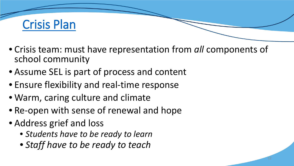

- Crisis team: must have representation from *all* components of school community
- Assume SEL is part of process and content
- Ensure flexibility and real-time response
- Warm, caring culture and climate
- Re-open with sense of renewal and hope
- Address grief and loss
	- *Students have to be ready to learn*
	- *Staff have to be ready to teach*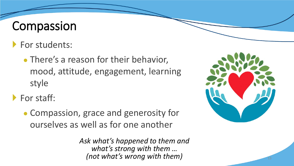### Compassion

- **For students:** 
	- There's a reason for their behavior, mood, attitude, engagement, learning style

For staff:

• Compassion, grace and generosity for ourselves as well as for one another

> *Ask what's happened to them and what's strong with them … (not what's wrong with them)*